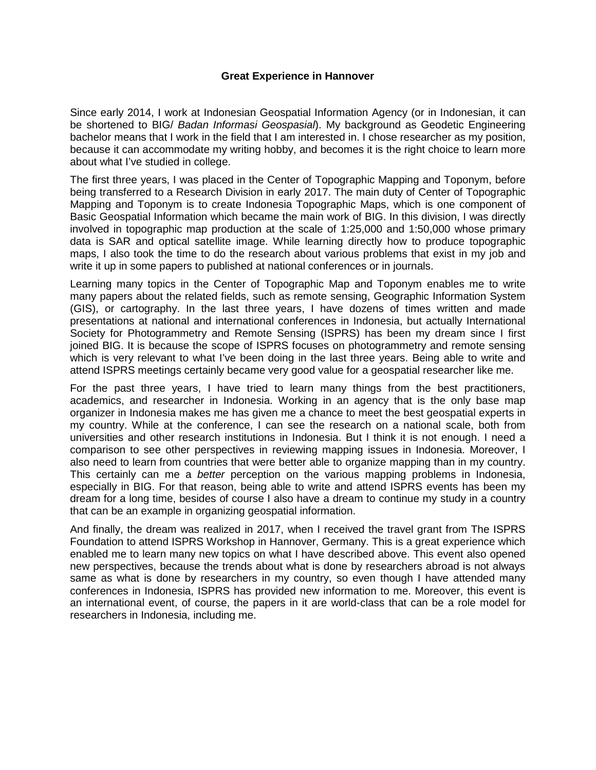## **Great Experience in Hannover**

Since early 2014, I work at Indonesian Geospatial Information Agency (or in Indonesian, it can be shortened to BIG/ *Badan Informasi Geospasial*). My background as Geodetic Engineering bachelor means that I work in the field that I am interested in. I chose researcher as my position, because it can accommodate my writing hobby, and becomes it is the right choice to learn more about what I've studied in college.

The first three years, I was placed in the Center of Topographic Mapping and Toponym, before being transferred to a Research Division in early 2017. The main duty of Center of Topographic Mapping and Toponym is to create Indonesia Topographic Maps, which is one component of Basic Geospatial Information which became the main work of BIG. In this division, I was directly involved in topographic map production at the scale of 1:25,000 and 1:50,000 whose primary data is SAR and optical satellite image. While learning directly how to produce topographic maps, I also took the time to do the research about various problems that exist in my job and write it up in some papers to published at national conferences or in journals.

Learning many topics in the Center of Topographic Map and Toponym enables me to write many papers about the related fields, such as remote sensing, Geographic Information System (GIS), or cartography. In the last three years, I have dozens of times written and made presentations at national and international conferences in Indonesia, but actually International Society for Photogrammetry and Remote Sensing (ISPRS) has been my dream since I first joined BIG. It is because the scope of ISPRS focuses on photogrammetry and remote sensing which is very relevant to what I've been doing in the last three years. Being able to write and attend ISPRS meetings certainly became very good value for a geospatial researcher like me.

For the past three years, I have tried to learn many things from the best practitioners, academics, and researcher in Indonesia. Working in an agency that is the only base map organizer in Indonesia makes me has given me a chance to meet the best geospatial experts in my country. While at the conference, I can see the research on a national scale, both from universities and other research institutions in Indonesia. But I think it is not enough. I need a comparison to see other perspectives in reviewing mapping issues in Indonesia. Moreover, I also need to learn from countries that were better able to organize mapping than in my country. This certainly can me a *better* perception on the various mapping problems in Indonesia, especially in BIG. For that reason, being able to write and attend ISPRS events has been my dream for a long time, besides of course I also have a dream to continue my study in a country that can be an example in organizing geospatial information.

And finally, the dream was realized in 2017, when I received the travel grant from The ISPRS Foundation to attend ISPRS Workshop in Hannover, Germany. This is a great experience which enabled me to learn many new topics on what I have described above. This event also opened new perspectives, because the trends about what is done by researchers abroad is not always same as what is done by researchers in my country, so even though I have attended many conferences in Indonesia, ISPRS has provided new information to me. Moreover, this event is an international event, of course, the papers in it are world-class that can be a role model for researchers in Indonesia, including me.